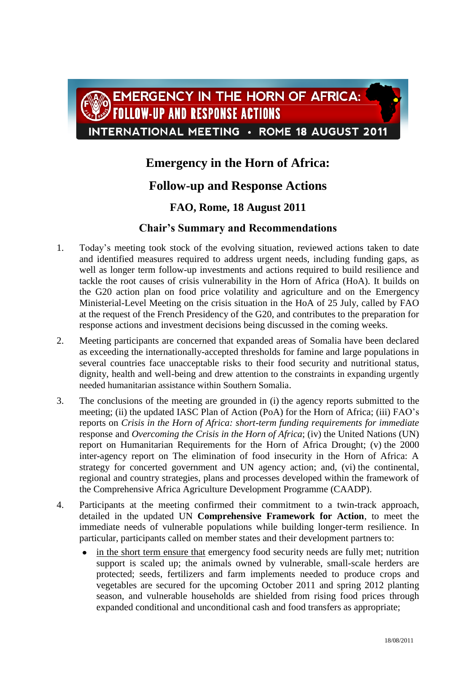

## **Emergency in the Horn of Africa:**

## **Follow-up and Response Actions**

## **FAO, Rome, 18 August 2011**

## **Chair's Summary and Recommendations**

- 1. Today's meeting took stock of the evolving situation, reviewed actions taken to date and identified measures required to address urgent needs, including funding gaps, as well as longer term follow-up investments and actions required to build resilience and tackle the root causes of crisis vulnerability in the Horn of Africa (HoA). It builds on the G20 action plan on food price volatility and agriculture and on the Emergency Ministerial-Level Meeting on the crisis situation in the HoA of 25 July, called by FAO at the request of the French Presidency of the G20, and contributes to the preparation for response actions and investment decisions being discussed in the coming weeks.
- 2. Meeting participants are concerned that expanded areas of Somalia have been declared as exceeding the internationally-accepted thresholds for famine and large populations in several countries face unacceptable risks to their food security and nutritional status, dignity, health and well-being and drew attention to the constraints in expanding urgently needed humanitarian assistance within Southern Somalia.
- 3. The conclusions of the meeting are grounded in (i) the agency reports submitted to the meeting; (ii) the updated IASC Plan of Action (PoA) for the Horn of Africa; (iii) FAO's reports on *Crisis in the Horn of Africa: short-term funding requirements for immediate* response and *Overcoming the Crisis in the Horn of Africa*; (iv) the United Nations (UN) report on Humanitarian Requirements for the Horn of Africa Drought; (v) the 2000 inter-agency report on The elimination of food insecurity in the Horn of Africa: A strategy for concerted government and UN agency action; and, (vi) the continental, regional and country strategies, plans and processes developed within the framework of the Comprehensive Africa Agriculture Development Programme (CAADP).
- 4. Participants at the meeting confirmed their commitment to a twin-track approach, detailed in the updated UN **Comprehensive Framework for Action**, to meet the immediate needs of vulnerable populations while building longer-term resilience. In particular, participants called on member states and their development partners to:
	- in the short term ensure that emergency food security needs are fully met; nutrition support is scaled up; the animals owned by vulnerable, small-scale herders are protected; seeds, fertilizers and farm implements needed to produce crops and vegetables are secured for the upcoming October 2011 and spring 2012 planting season, and vulnerable households are shielded from rising food prices through expanded conditional and unconditional cash and food transfers as appropriate;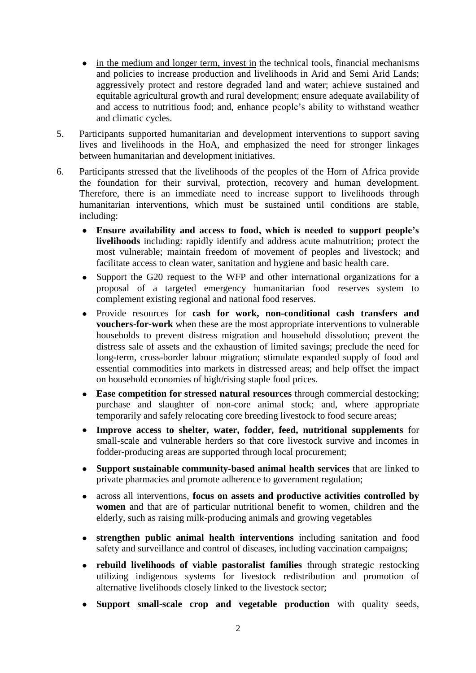- in the medium and longer term, invest in the technical tools, financial mechanisms and policies to increase production and livelihoods in Arid and Semi Arid Lands; aggressively protect and restore degraded land and water; achieve sustained and equitable agricultural growth and rural development; ensure adequate availability of and access to nutritious food; and, enhance people's ability to withstand weather and climatic cycles.
- 5. Participants supported humanitarian and development interventions to support saving lives and livelihoods in the HoA, and emphasized the need for stronger linkages between humanitarian and development initiatives.
- 6. Participants stressed that the livelihoods of the peoples of the Horn of Africa provide the foundation for their survival, protection, recovery and human development. Therefore, there is an immediate need to increase support to livelihoods through humanitarian interventions, which must be sustained until conditions are stable, including:
	- **Ensure availability and access to food, which is needed to support people's livelihoods** including: rapidly identify and address acute malnutrition; protect the most vulnerable; maintain freedom of movement of peoples and livestock; and facilitate access to clean water, sanitation and hygiene and basic health care.
	- Support the G20 request to the WFP and other international organizations for a proposal of a targeted emergency humanitarian food reserves system to complement existing regional and national food reserves.
	- Provide resources for **cash for work, non-conditional cash transfers and vouchers-for-work** when these are the most appropriate interventions to vulnerable households to prevent distress migration and household dissolution; prevent the distress sale of assets and the exhaustion of limited savings; preclude the need for long-term, cross-border labour migration; stimulate expanded supply of food and essential commodities into markets in distressed areas; and help offset the impact on household economies of high/rising staple food prices.
	- **Ease competition for stressed natural resources** through commercial destocking;  $\bullet$ purchase and slaughter of non-core animal stock; and, where appropriate temporarily and safely relocating core breeding livestock to food secure areas;
	- **Improve access to shelter, water, fodder, feed, nutritional supplements** for small-scale and vulnerable herders so that core livestock survive and incomes in fodder-producing areas are supported through local procurement;
	- **Support sustainable community-based animal health services** that are linked to private pharmacies and promote adherence to government regulation;
	- across all interventions, **focus on assets and productive activities controlled by**   $\bullet$ **women** and that are of particular nutritional benefit to women, children and the elderly, such as raising milk-producing animals and growing vegetables
	- **strengthen public animal health interventions** including sanitation and food safety and surveillance and control of diseases, including vaccination campaigns;
	- **rebuild livelihoods of viable pastoralist families** through strategic restocking utilizing indigenous systems for livestock redistribution and promotion of alternative livelihoods closely linked to the livestock sector;
	- **Support small-scale crop and vegetable production** with quality seeds,